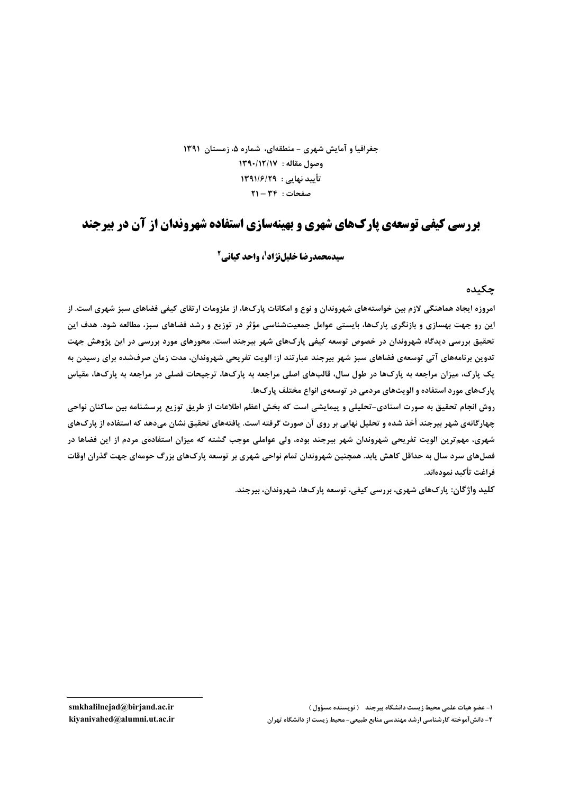## جغرافیا و آمایش شهری - منطقهای، شماره ۵، زمستان ۱۳۹۱ وصول مقاله: ١٣٩٠/١٢/١٧ تأييد نهايي : ١٣٩١/٤/٢٩  $Y1 - YF$ : صفحات

# **بررسی کیفی توسعهی یارکهای شهری و بهینهسازی استفاده شهروندان از آن در بیرجند**

### **سیدمحمدرضا خلیلنژاد<sup>1</sup>، واحد کیانی<sup>2</sup>**

#### چکىدە

امروزه ایجاد هماهنگی لازم بین خواستههای شهروندان و نوع و امکانات پارکها، از ملزومات ارتقای کیفی فضاهای سبز شهری است. از این رو جهت بهسازی و بازنگری پارکها، بایستی عوامل جمعیتشناسی مؤثر در توزیع و رشد فضاهای سبز، مطالعه شود. هدف این تحقیق بررسی دیدگاه شهروندان در خصوص توسعه کیفی پارکھای شهر بیرجند است. محورهای مورد بررسی در این پژوهش جهت تدوین برنامههای آتی توسعهی فضاهای سبز شهر بیرجند عبارتند از: الویت تفریحی شهروندان، مدت زمان صرفشده برای رسیدن به یک پارک، میزان مراجعه به پارکها در طول سال، قالبهای اصلی مراجعه به پارکها، ترجیحات فصلی در مراجعه به پارکها، مقیاس پارکهای مورد استفاده و الویتهای مردمی در توسعهی انواع مختلف پارکها.

روش انجام تحقيق به صورت اسنادي-تحليلي و پيمايشي است كه بخش اعظم اطلاعات از طريق توزيع پرسشنامه بين ساكنان نواحي چهارگانهی شهر بیرجند أخذ شده و تحلیل نهایی بر روی آن صورت گرفته است. یافتههای تحقیق نشان میدهد که استفاده از پارکهای شهری، مهم ترین الویت تفریحی شهروندان شهر بیرجند بوده، ولی عواملی موجب گشته که میزان استفادهی مردم از این فضاها در فصلهای سرد سال به حداقل کاهش یابد. همچنین شهروندان تمام نواحی شهری بر توسعه پارک&ای بزرگ حومهای جهت گذران اوقات فراغت تأكيد نمودهاند.

کلید واژگان: پارکھای شهری، بررسی کیفی، توسعه پارکھا، شهروندان، بیرجند.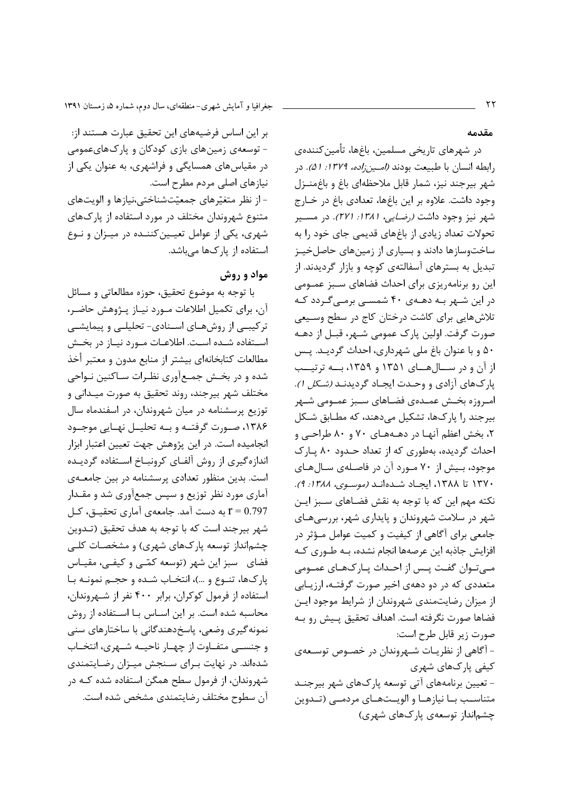جغرافیا و آمایش شهری-منطقهای، سال دوم، شماره ۵، زمستان ۱۳۹۱

مقدمه

در شهرهای تاریخی مسلمین، باغها، تأمین کنندهی رابطه انسان با طبیعت بودند *(امین زاده، ۱۳۷۹: ۵۱).* در شهر بيرجند نيز، شمار قابل ملاحظهاى باغ و باغ منـزل وجود داشت. علاوه بر این باغها، تعدادی باغ در خـارج شهر نیز وجود داشت *(رضایی، ۱۳۸۱: ۲۷۱)*. در مسـیر تحولات تعداد زیادی از باغهای قدیمی جای خود را به ساختوسازها دادند و بسیاری از زمینهای حاصلخیـز تبدیل به بسترهای آسفالتهی کوچه و بازار گردیدند. از این رو برنامهریزی برای احداث فضاهای سبز عمـومی در این شـهر بـه دهـهی ۴۰ شمسـی برمـیگـردد کـه تلاش هایی برای کاشت درختان کاج در سطح وسیعی صورت گرفت. اولین پارک عمومی شـهر، قبـل از دهـه ۵۰ و با عنوان باغ ملي شهرداري، احداث گرديـد. پـس از آن و در سبال هسای ۱۳۵۱ و ۱۳۵۹، بسه ترتیسب پارکهای آزادی و وحدت ایجاد گردیدنـد *(شکل ۱)*. امـروزه بخـش عمـدهى فضـاهاى سـبز عمـومى شـهر بيرجند ,ا يارکها، تشکيل مي دهند، که مطـابق شـکل ۲، بخش اعظم آنهـا در دهـههـای ۷۰ و ۸۰ طراحـی و احداث گردیده، بهطوری که از تعداد حـدود ۸۰ پـارک موجود، بیش از ۷۰ مورد آن در فاصلهی سال های ١٣٧٠ تا ١٣٨٨، ايجاد شدهاند (موسوى، ١٣٨٨: ٩). نكته مهم اين كه با توجه به نقش فضـاهاى سـبز ايـن شهر در سلامت شهروندان و پایداری شهر، بررسیهای جامعی برای آگاهی از کیفیت و کمیت عوامل مـؤثر در افزایش جاذبه این عرصهها انجام نشده، بـه طـوری کـه مے توان گفت پـس از احـداث پـار کـهـای عمـومی متعددی که در دو دههی اخیر صورت گرفتـه، ارزیـابی از میزان رضایتمندی شهروندان از شرایط موجود ایـن فضاها صورت نگرفته است. اهداف تحقیق پیش رو بـه صورت زیر قابل طرح است: - آگاهی از نظریـات شـهروندان در خصـوص توسـعهى کیفی پارکھای شہری

- تعیین برنامههای آتی توسعه پارکهای شهر بیرجنـد متناسب با نیازها و الویتهای مردمـی (تـدوین چشمانداز توسعهی یارکهای شهری)

بر این اساس فرضیههای این تحقیق عبارت هستند از: – توسعهی زمین های بازی کودکان و یارک&ایعمومی در مقیاسهای همسایگی و فراشهری، به عنوان یکی از نيازهاي اصلي مردم مطرح است. - از نظر متغیّرهای جمعیّتشناختی،نیازها و الویتهای متنوع شهروندان مختلف در مورد استفاده از پارکهای شهري، يكي از عوامل تعيـين كننـده در ميـزان و نـوع استفاده از یارکها میباشد.

#### مواد و روش

با توجه به موضوع تحقیق، حوزه مطالعاتی و مسائل آن، برای تکمیل اطلاعات مـورد نیـاز پـژوهش حاضـر، ترکیبـی از روشهـای اسـنادی- تحلیلـی و پیمایشـی استفاده شـده اسـت. اطلاعـات مـورد نيـاز در بخـش مطالعات كتابخانهاى بيشتر از منابع مدون و معتبر أخذ شده و در بخـش جمـع[وری نظـرات سـاکنین نـواحی مختلف شهر بيرجند، روند تحقيق به صورت ميـداني و توزیع پرسشنامه در میان شهروندان، در اسفندماه سال ۱۳۸۶، صورت گرفتـه و بـه تحليـل نهـايي موجـود انجامیده است. در این پژوهش جهت تعیین اعتبار ابزار اندازه گیری از روش آلفـای کرونبـاخ اسـتفاده گردیـده است. بدین منظور تعدادی پرسشنامه در بین جامعهی آماری مورد نظر توزیع و سپس جمعآوری شد و مقـدار 1 = 0.797 به دست آمد. جامعهی آماری تحقیــق، کــل شهر بيرجند است كه با توجه به هدف تحقيق (تـدوين چشمانداز توسعه پارکهای شهری) و مشخصـات کلـی فضای سبز این شهر (توسعه کمّبی و کیفـی، مقیـاس پارکها، تنوع و …)، انتخـاب شـده و حجـم نمونـه بـا استفاده از فرمول کوکران، برابر ۴۰۰ نفر از شـهروندان، محاسبه شده است. بر این اسـاس بـا اسـتفاده از روش نمونه گیری وضعی، پاسخ دهندگانی با ساختارهای سنی و جنســی متفــاوت از چهــار ناحیــه شــهری، انتخــاب شدهاند. در نهایت بـرای سـنجش میـزان رضـایتمندی شهروندان، از فرمول سطح همگن استفاده شده کـه در آن سطوح مختلف رضايتمندى مشخص شده است.

٢٢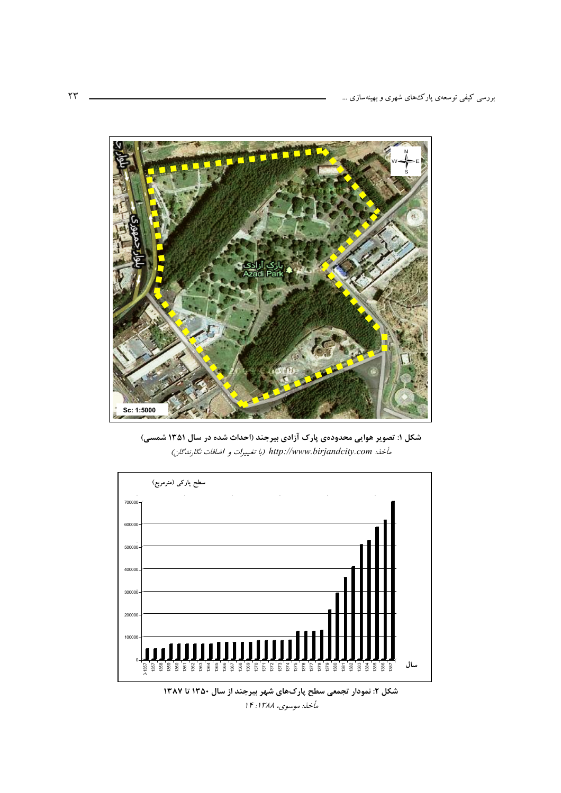

شکل ۱: تصویر هوایی محدودهی پارک آزادی بیرجند (احداث شده در سال ۱۳۵۱ شمسی) مأخذ: http://www.birjandcity.com (با تغييرات و اضافات نكارندگان)



شکل ۲: نمودار تجمعی سطح پارکھای شهر بیرجند از سال ۱۳۵۰ تا ۱۳۸۷ مأخذ: موسوى، ١٣٨٨: ١۴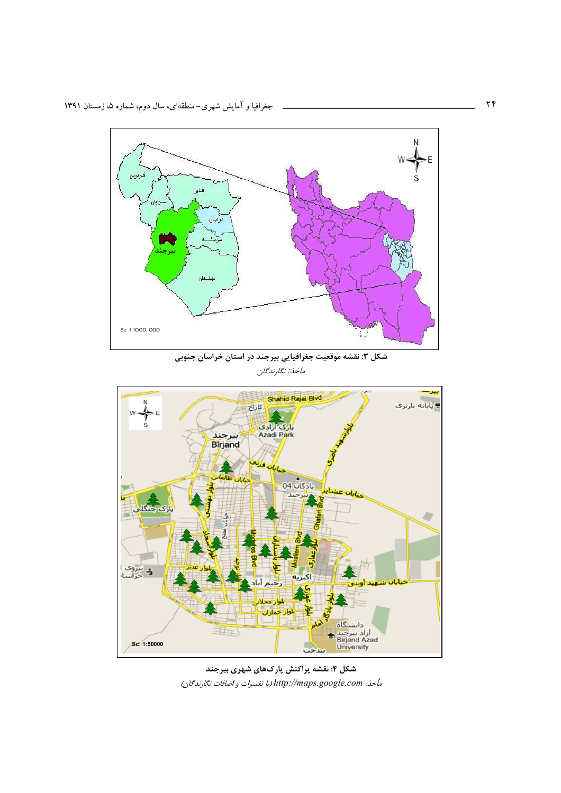

a l

شکل ۳: نقشه موقعیت جغرافیایی بیرجند در استان خراسان جنوبی مأخذ: نگارندگان



شکل ۴: نقشه پراکنش پارکهای شهری بیرجند مأخذ: http://maps.google.com (با تغييرات و اضافات نگارندگان)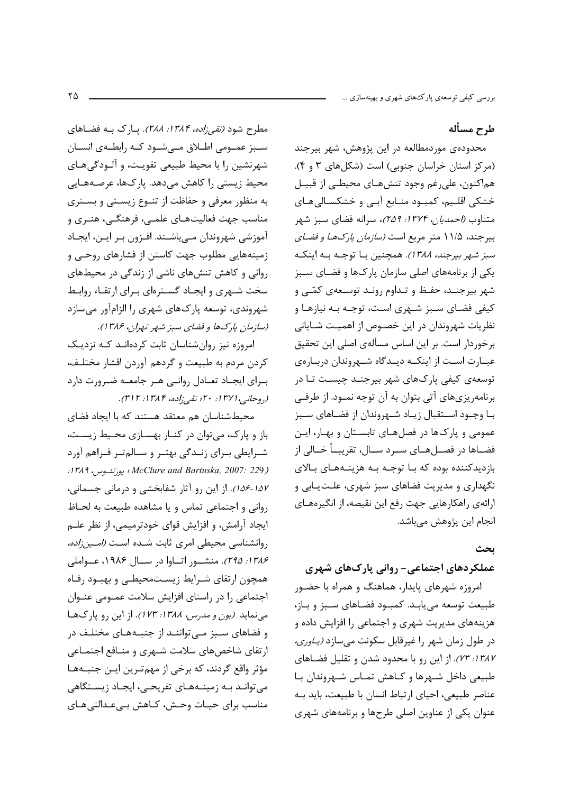## طرح مسأله

محدودهی موردمطالعه در این پژوهش، شهر بیرجند (مرکز استان خراسان جنوبی) است (شکل های ۳ و ۴). هماکنون، علي رغم وجود تنشهـاي محيطـي از قبيـل خشکی اقلیم، کمبود منـابع آبـی و خشکسـالی هـای متناوب *(احمدیان، ۱۳۷۴: ۲۵۹)*، سرانه فضای سبز شهر بیرجند، ۱۱/۵ متر مربع است *(سازمان پارکهـا و فضـای* سبز شهر بیرجند، ۱۳۸۸). همچنین بـا توجـه بـه اینکـه یکی از برنامههای اصلی سازمان یارک\$ا و فضـای سـبز شهر بیرجنـد، حفـظ و تـداوم رونـد توسـعهى كمّـى و کیفی فضای سـبز شـهری اسـت، توجـه بـه نیازهـا و نظریات شهروندان در این خصـوص از اهمیـت شـایانی برخوردار است. بر این اساس مسألهى اصلى این تحقیق عبـارت اسـت از اينكـه ديـدگاه شـهروندان دربـارهي توسعهی کیفی پارکهای شهر بیرجنـد چیسـت تـا در برنامهریزیهای آتی بتوان به آن توجه نمـود. از طرفـی بـا وجــود اســتقبال زيــاد شــهروندان از فضــاهاى ســبز عمومی و پارکها در فصلهای تابستان و بهار، این فضــاها در فصــلهــاي ســرد ســال، تقريبــأ خــالى از بازديدکننده بوده که بـا توجـه بـه هزينـههـاي بـالاي نگهداری و مدیریت فضاهای سبز شهری، علتیابی و ارائهي راهكارهايي جهت رفع اين نقيصه، از انگيزههـاي انجام این پژوهش مے باشد.

#### بحث

## عملکردهای اجتماعی- روانی پارکهای شهری

امروزه شهرهای پایدار، هماهنگ و همراه با حضور طبيعت توسعه مي يابـد. كمبـود فضـاهاى سـبز وباز، هزینههای مدیریت شهری و اجتماعی را افزایش داده و در طول زمان شهر را غیرقابل سکونت میسازد *(یاوری،* //٣/١٣٨٧. از این رو با محدود شدن و تقلیل فضاهای طبیعی داخل شـهرها و کـاهش تمـاس شـهروندان بـا عناصر طبیعی، احیای ارتباط انسان با طبیعت، باید بـه عنوان یکی از عناوین اصلی طرحها و برنامههای شهری

مطرح شود *(نقی زاده، ۱۳۸۴: ۲۸۸)*. یارک بـه فضـاهای سـبز عمـومي اطـلاق مـيشـود كـه رابطـهي انسـان شهرنشین را با محیط طبیعی تقویت، و آلـودگی هـای محیط زیستی را کاهش میدهد. پارکها، عرصـههـایی به منظور معرفی و حفاظت از تنوع زیستی و بستری مناسب جهت فعالیتهـای علمـی، فرهنگـی، هنـری و آموزشي شهروندان مےباشـند. افـزون بـر ايـن، ايجـاد زمینههایی مطلوب جهت کاستن از فشارهای روحے و روانی و کاهش تنش های ناشی از زندگی در محیطهای سخت شـهري و ايجـاد گسـترهاي بـراي ارتقـاء روابـط شهروندی، توسعه پارک@ای شهری را الزامآور مے سازد (سازمان پارکها و فضای سبز شهر تهران، ۱۳۸۶).

امروزه نیز روان شناسان ثابت کردهانـد کـه نزدیـک كردن مردم به طبيعت و گردهم أوردن اقشار مختلف، بـرای ایجـاد تعـادل روانـی هـر جامعـه ضـرورت دارد (روحانبي، ۱۳۷۱. ۲۰؛ نقبي زاده، ۱۳۸۴. ۳۱۳).

محیطشناسان هم معتقد هستند که با ایجاد فضای باز و پارک، میتوان در کنـار بهسـازی محـیط زیسـت، شـرايطي بـراي زنـدگي بهتـر و سـالمتـر فـراهم آورد : 1۳۸۹ McClure and Bartuska, 2007: پورتئوس، 1۳۸۹: ١٥٧-١٥۶). از اين رو آثار شفابخشي و درماني جسماني، روانی و اجتماعی تماس و یا مشاهده طبیعت به لحـاظ ايجاد آرامش، و افزايش قواي خودترميمي، از نظر علـم روانشناسی محیطی امری ثابت شده است (اصین زاده، ١٣٨۶: ٢٩۵). منشور اتباوا در سبال ١٩٨۶، عبواملي همچون ارتقای شـرایط زیسـتمحیطـی و بهبـود رفـاه اجتماعی را در راستای افزایش سلامت عمـومی عنـوان می نماید (بون و مدرس، ۱۳۸۸: ۱۲۳). از این رو یارکها و فضاهای سبز مے تواننـد از جنبـههـای مختلـف در ارتقای شاخصهای سلامت شـهری و منـافع اجتمـاعی مؤثر واقع گردند، که برخی از مهمترین ایـن جنبـههـا میتواند به زمینههای تفریحی، ایجاد زیستگاهی مناسب برای حیـات وحـش، کـاهش بـیءـدالتیِهـای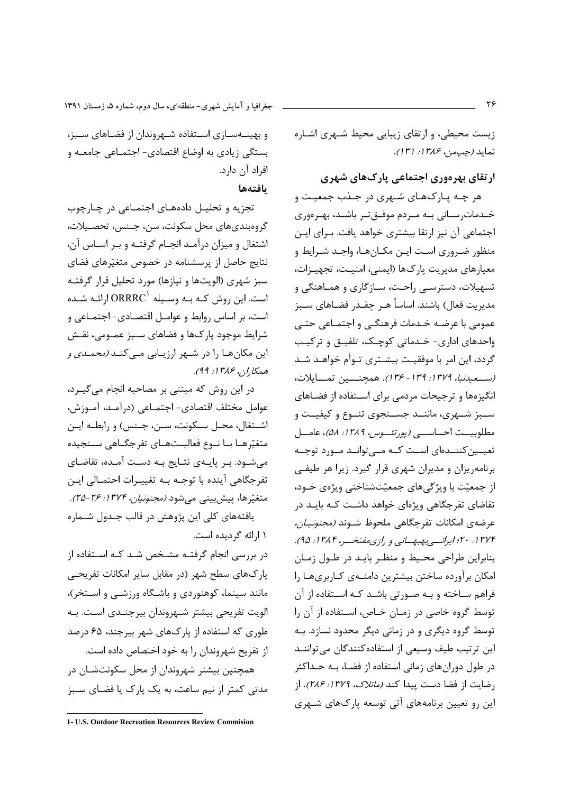جغرافیا و آمایش شهری-منطقهای، سال دوم، شماره ۵، زمستان ۱۳۹۱

و بهینــهســازی اســتفاده شــهروندان از فضــاهای ســبز، بستگی زیادی به اوضاع اقتصادی- اجتمـاعی جامعـه و افراد آن دارد.

بافتهها

تجزیه و تحلیـل دادههـای اجتمـاعی در چـارچوب گروهبنديهاي محل سكونت، سن، جـنس، تحصـيلات، اشتغال و میزان درآمـد انجـام گرفتـه و بـر اسـاس آن، نتایج حاصل از پرسشنامه در خصوص متغیّرهای فضای سبز شهري (الويتها و نيازها) مورد تحليل قرار گرفتـه است. این روش کـه بـه وسـیله 'ORRRC ارائـه شـده است، بر اساس روابط و عوامـل اقتصـادي- اجتمـاعي و شرایط موجود پارکھا و فضاهای سـبز عمـومے، نقـش این مکان هـا را در شـهر ارزیـابی مـی کنـد *(محمـدی و* همكان علالان ١٣٨٤.

در این روش که مبتنی بر مصاحبه انجام می گیـرد، عوامل مختلف اقتصادي- اجتمــاعي (درآمــد، آمــوزش، اشتغال، محـل سـكونت، سـن، جـنس) و رابطـه ايـن متغيّرهـا بـا نــوع فعاليــتهــاي تفرجگــاهي ســنجيده می شــود. بــر پایــهی نتــایج بــه دســت آمــده، تقاضــای تفرجگاهي آينده با توجـه بـه تغييـرات احتمـالي ايـن متغیّرها، پیشبینی میشود *(مجنونیان، ۱۳۷۴: ۲۵-۲۵)*.

یافتههای کلی این پژوهش در قالب جـدول شـماره ١ ارائه گرديده است.

در بررسی انجام گرفتـه مشـخص شـد کـه اسـتفاده از پارکھای سطح شهر (در مقابل سایر امکانات تفریحے مانند سینما، کوهنوردی و باشـگاه ورزشـی و اسـتخر)، الويت تفريحي بيشتر شـهروندان بيرجنـدي اسـت. بـه طوری که استفاده از یارکهای شهر بیرجند، ۶۵ درصد از تفریح شهروندان را به خود اختصاص داده است. همچنین بیشتر شهروندان از محل سکونتشـان در مدتی کمتر از نیم ساعت، به یک پارک یا فضـای سـبز

زیست محیطی، و ارتقای زیبایی محیط شـهری اشـاره نمايد (جيمن، ١٣٨۶: ١٣١).

ارتقای بهرهوری اجتماعی پارکهای شهری

هر چـه پـارک@ای شـهری در جـذب جمعیـت و خـدمات٫سـاني بـه مـردم موفـقتـر باشـد، بهـرهوري اجتماعی آن نیز ارتقا بیشتری خواهد یافت. بـرای ایـن منظور ضـروري اسـت ايـن مكـانهـا، واجـد شـرايط و معيارهاي مديريت پارکها (ايمني، امنيـت، تجهيـزات، تسهیلات، دسترسـی راحـت، سـازگاری و همـاهنگی و مديريت فعال) باشند. اساساً هـر چقـدر فضـاهاي ســبز عمومي با عرضـه خـدمات فرهنگـي و اجتمـاعي حتـي واحدهای اداری- خـدماتی کوچـک، تلفیـق و ترکیـب گردد، این امر با موفقیت بیشـتری تـوأم خواهـد شـد (بستعيدنيا، ١٣٧٩: ١٣٩- ١٣۶). همچنسين تمسايلات، انگیزهها و ترجیحات مردمی برای استفاده از فضاهای ســبز شــهري، ماننــد جســتجوي تنــوع و كيفيــت و مطلوبيــت احساســـي (يورتئـــوس، ١٣٨٩: ۵٨)، عامـــل تعیــین کننــدهای اســت کــه مــی توانــد مــورد توجــه برنامه ریزان و مدیران شهری قرار گیرد. زیرا هر طیفی از جمعیّت با ویژگیهای جمعیّتشناختی ویژهی خــود، تقاضای تفرجگاهی ویژهای خواهد داشت کـه بایـد در عرضهي امكانات تفرجگاهي ملحوظ شـوند *(مجنونيـان،* ۱۳۷۴: ۲۰؛ ایرانسه بهبهسانی و رازی مفتخسر، ۱۳۸۴: ۹۵). بنابراین طراحی محیط و منظـر بایـد در طـول زمـان امکان برآورده ساختن بیشترین دامنـهی کـاربریهـا را فراهم ساخته و بـه صـورتي باشـد كـه اسـتفاده از آن توسط گروه خاصی در زمـان خـاص، اسـتفاده از آن را توسط گروه دیگری و در زمانی دیگر محدود نسازد. بـه این ترتیب طیف وسیعی از استفاده کنندگان میتواننـد در طول دورانهای زمانی استفاده از فضـا، بـه حـداکثر , ضايت از فضا دست پيدا كند *(ماتلاك، ١٣٧٩: ٢٨۶)*. از این رو تعیین برنامههای آتی توسعه پارکهای شـهری

۲۶

<sup>1-</sup> U.S. Outdoor Recreation Resources Review Commision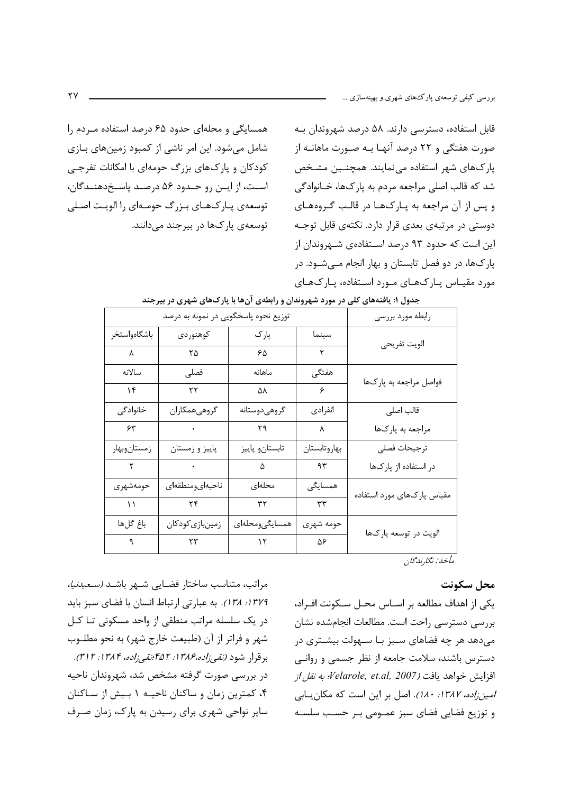همسایگی و محلهای حدود ۶۵ درصد استفاده مـردم را شامل میشود. این امر ناشی از کمبود زمینهای بـازی کودکان و پارکهای بزرگ حومهای با امکانات تفرجـی است، از ایـن رو حـدود ۵۶ درصـد پاسـخدهنـدگان، توسعهی پـارکـهـای بـزرگ حومـهای را الويـت اصـلى توسعهی یارکھا در بیرجند می دانند. قابل استفاده، دسترسی دارند. ۵۸ درصد شهروندان به صورت هفتگی و ۲۲ درصد آنهـا بـه صـورت ماهانـه از پارکھای شهر استفاده می نمایند. همچنـین مشـخص شد که قالب اصلي مراجعه مردم به پارکها، خــانوادگي و پس از آن مراجعه به پـارک&ا در قالـب گـروههـای دوستی در مرتبهی بعدی قرار دارد. نکتهی قابل توجـه این است که حدود ۹۳ درصد استفادهی شـهروندان از پارکها، در دو فصل تابستان و بهار انجام مـیشـود. در مورد مقیاس پارکهای مورد استفاده، پارکهای

|              | توزیع نحوه پاسخگویی در نمونه به درصد       | رابطه مورد بررسي        |               |                            |  |
|--------------|--------------------------------------------|-------------------------|---------------|----------------------------|--|
| باشگاهواستخر | كوهنوردى                                   | پارک                    | سينما         | الويت تفريحي               |  |
| $\lambda$    | $\mathbf{Y} \, \Delta$                     | $\mathcal{S}\Delta$     | ٢             |                            |  |
| سالانه       | فصلى                                       | ماهانه                  | هفتگی         | فواصل مراجعه به پارکها     |  |
| $\lambda$    | $\mathbf{r}$                               | $\Delta\lambda$         | $\bar{\zeta}$ |                            |  |
| خانوادگی     | گروهیِهمکاران                              | گروهىدوستانه            | انفرادي       | قالب اصلی                  |  |
| 55           | $\mathcal{L}(\mathcal{A})$ .               | $\mathsf{r}\mathsf{q}$  | $\lambda$     | مراجعه به پارکها           |  |
| زمستانوبهار  | پاییز و زمستان                             | تابستان وپاييز          | بهاروتابستان  | ترجيحات فصلى               |  |
| $\mathbf{r}$ | $\mathcal{O}(\mathcal{A}^{\mathcal{A}})$ . | $\Delta$                | 95            | در استفاده از پارکها       |  |
| حومەشهرى     | ناحيهاىومنطقهاى                            | محلهاى                  | همسایگی       | مقیاس پارکهای مورد استفاده |  |
| $\lambda$    | $\mathsf{Y}\mathsf{F}$                     | $\mathbf{r} \mathbf{r}$ | $\tau\tau$    |                            |  |
| باغ گلها     | زمینبازی کودکان                            | همسايگىومحلەاي          | حومه شهرى     | الويت در توسعه پارکها      |  |
| ٩            | $\mathsf{r}\mathsf{r}$                     | $\mathcal{N}$           | $\Delta$ ۶    |                            |  |

| جدول ۱: یافتههای کلی در مورد شهروندان و رابطهی انها با پارکهای شهری در بیرجند |  |
|-------------------------------------------------------------------------------|--|
|-------------------------------------------------------------------------------|--|

مأخذ: نگارندگان

## محل سكونت

یکی از اهداف مطالعه بر اسـاس محـل سـکونت افـراد، بررسی دسترسی راحت است. مطالعات انجامشده نشان میدهد هر چه فضاهای سـبز بـا سـهولت بیشـتری در دسترس باشند، سلامت جامعه از نظر جسمی و روانبی افزايش خواهد يافت (Velarole, et.al, 2007؛ به نقل از امین زاده، ۱۳۸۷: ۱۸۰). اصل بر این است که مکان پایی و توزیع فضایی فضای سبز عمـومی بـر حسـب سلسـه

مراتب، متناسب ساختار فضـایی شـهر باشـد *(سـعیدنیا،* ١٣٧٩: ١٣٨). به عبارتي ارتباط انسان با فضاى سبز بايد در یک سلسله مراتب منطقی از واحد مسکونی تـا کـل شهر و فراتر از آن (طبیعت خارج شهر) به نحو مطلـوب برقرار شود *(نقي زاده،۱۳۸۶: ۴۵۲؛نقي زاده، ۱۳۸۴: ۳۱۲).* در بررسی صورت گرفته مشخص شد، شهروندان ناحیه ۴، کمترین زمان و ساکنان ناحیـه ۱ بـیش از سـاکنان سایر نواحی شهری برای رسیدن به پارک، زمان صرف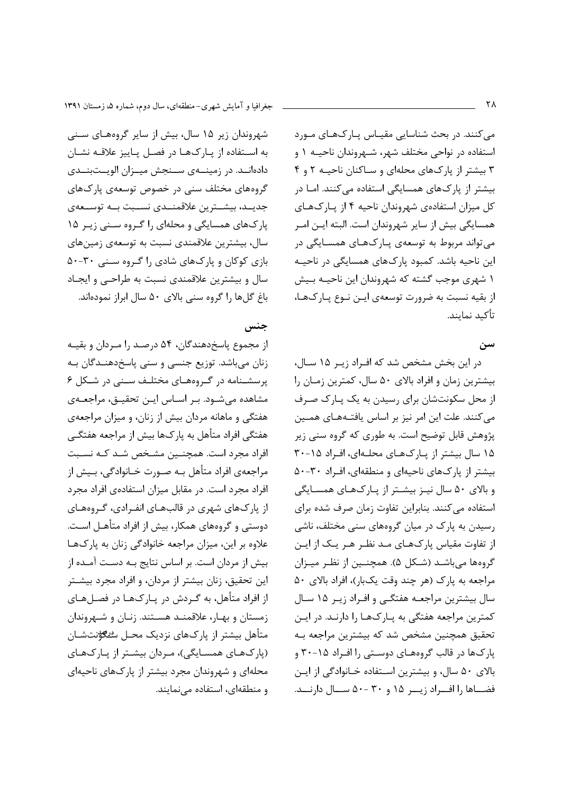می کنند. در بحث شناسایی مقیـاس یـارکھـای مـورد استفاده در نواحی مختلف شهر، شـهروندان ناحیــه ۱ و ۳ بیشتر از پارکهای محلهای و سـاکنان ناحیـه ۲ و ۴ بیشتر از پارکهای همسایگی استفاده میکنند. امـا در كل ميزان استفادهي شهروندان ناحيه ۴ از پارکهاي همسایگی بیش از سایر شهروندان است. البته ایــن امــر می تواند مربوط به توسعهی پـارک@ای همسـایگی در این ناحیه باشد. کمبود پارکهای همسایگی در ناحیـه ۱ شهری موجب گشته که شهروندان این ناحیـه بـیش از بقیه نسبت به ضرورت توسعهی ایـن نـوع یـار کـهـا، تأكيد نمايند.

#### سن

در این بخش مشخص شد که افـراد زیـر ۱۵ سـال، بیشترین زمان و افراد بالای ۵۰ سال، کمترین زمـان را از محل سکونتشان برای رسیدن به یک پـارک صـرف می کنند. علت این امر نیز بر اساس یافتـههـای همـین پژوهش قابل توضیح است. به طوری که گروه سنی زیر ۱۵ سال بیشتر از پارکهای محلهای، افراد ۱۵-۳۰ بیشتر از پارکهای ناحیهای و منطقهای، افراد ۳۰-۵۰ و بالای ۵۰ سال نیـز بیشـتر از پـارکهـای همسـایگی استفاده می کنند. بنابراین تفاوت زمان صرف شده برای رسیدن به پارک در میان گروههای سنی مختلف، ناشی از تفاوت مقیاس پارکھـای مـد نظـر هـر يـک از ايـن گروهها میباشد (شکل ۵). همچنین از نظر میـزان مراجعه به پارک (هر چند وقت یکبار)، افراد بالای ۵۰ سال بیشترین مراجعـه هفتگـی و افـراد زیـر ۱۵ سـال کمترین مراجعه هفتگی به پـارک@ا را دارنـد. در ایـن تحقیق همچنین مشخص شد که بیشترین مراجعه بـه پارکها در قالب گروههای دوستی را افراد ۲۰-۳۰ و بالای ۵۰ سال، و بیشترین استفاده خـانوادگی از ایـن فضاها را افراد زیبر ۱۵ و ۳۰ -۵۰ سال دارنــد.

شهروندان زیر ۱۵ سال، بیش از سایر گروههای سنی به استفاده از پارکها در فصل پاییز علاقه نشان دادهانــد. در زمینــهی ســنجش میــزان الویــتبنــدی گروههای مختلف سنی در خصوص توسعهی پارکهای جدیــد، بیشــترین علاقمنــدی نســبت بــه توســعهی یارکهای همسایگی و محلهای را گروه سـنی زیـر ۱۵ سال، بیشترین علاقمندی نسبت به توسعهی زمینهای بازی کوکان و پارکهای شادی را گروه سنبی ۳۰-۵۰ سال و بیشترین علاقمندی نسبت به طراحـی و ایجـاد باغ گلها را گروه سنی بالای ۵۰ سال ابراز نمودهاند.

#### جنس

از مجموع پاسخدهندگان، ۵۴ درصد را مـردان و بقیـه زنان میباشد. توزیع جنسی و سنی پاسخدهنـدگان بـه پرسشـنامه در گروههای مختلـف سـنی در شـکل ۶ مشاهده می شـود. بـر اسـاس ایـن تحقیـق، مراجعـهی هفتگی و ماهانه مردان بیش از زنان، و میزان مراجعهی هفتگی افراد متأهل به پارکها بیش از مراجعه هفتگـی افراد مجرد است. همچنـین مشـخص شـد کـه نسـبت مراجعهي افراد متأهل بـه صـورت خـانوادگي، بـيش از افراد مجرد است. در مقابل میزان استفادهی افراد مجرد از پارک&ای شهری در قالبهـای انفـرادی، گـروههـای دوستی و گروههای همکار، بیش از افراد متأهـل اسـت. علاوه بر این، میزان مراجعه خانوادگی زنان به پارکها بیش از مردان است. بر اساس نتایج بـه دسـت آمـده از این تحقیق، زنان بیشتر از مردان، و افراد مجرد بیشتر از افراد متأهل، به گـردش در پـارک@ا در فصـلهـای زمستان و بهـار، علاقمنـد هسـتند. زنـان و شـهروندان متأهل بیشتر از یارکهای نزدیک محـل س*تــــــاف*تشــان (پارکهای همسایگی)، مردان بیشتر از پارکهای محلهای و شهروندان مجرد بیشتر از پارکهای ناحیهای و منطقهای، استفاده می نمایند.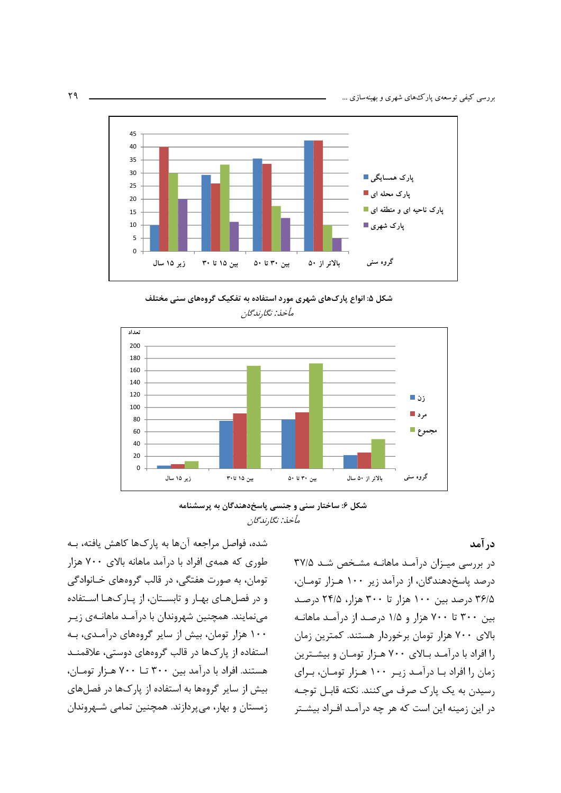

شکل ۵: انواع پارکهای شهری مورد استفاده به تفکیک گروههای سنی مختلف مأخذ: نگارندگان



شکل ۶: ساختار سنی و جنسی پاسخدهندگان به پرسشنامه مأخذ: نگارندگان

شده، فواصل مراجعه آنها به پارکها کاهش یافته، بـه طوری که همهی افراد با درآمد ماهانه بالای ۷۰۰ هزار تومان، به صورت هفتگی، در قالب گروههای خـانوادگی و در فصلهای بهـار و تابسـتان، از پـارکهـا اسـتفاده می نمایند. همچنین شهروندان با درآمـد ماهانــهی زیـر ۱۰۰ هزار تومان، بیش از سایر گروههای درآمـدی، بـه استفاده از پارکها در قالب گروههای دوستی، علاقمنـد هستند. افراد با درآمد بین ۳۰۰ تــا ۷۰۰ هـزار تومـان، بیش از سایر گروهها به استفاده از یارک&ا در فصلهای زمستان و بهار، می پردازند. همچنین تمامی شـهروندان در آمد

در بررسی میزان درآمد ماهانه مشخص شد ۳۷/۵ درصد پاسخدهندگان، از درآمد زیر ۱۰۰ هـزار تومـان، ۳۶/۵ درصد بین ۱۰۰ هزار تا ۳۰۰ هزار، ۲۴/۵ درصد بین ۳۰۰ تا ۷۰۰ هزار و ۱/۵ درصد از درآمد ماهانـه بالای ۷۰۰ هزار تومان برخوردار هستند. کمترین زمان را افراد با درآمـد بـالای ۷۰۰ هـزار تومـان و بیشـترین زمان را افراد بـا درآمـد زيـر ١٠٠ هـزار تومـان، بـراي رسیدن به یک پارک صرف میکنند. نکته قابـل توجـه در این زمینه این است که هر چه درآمـد افـراد بیشـتر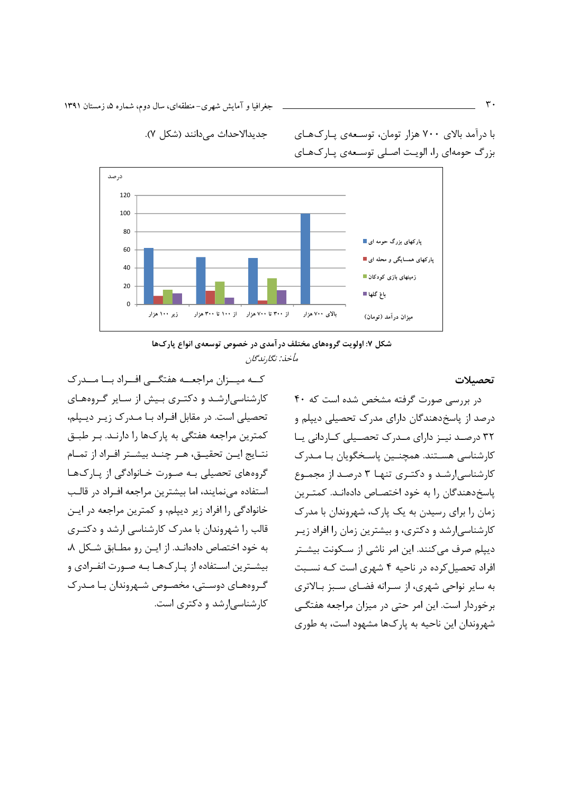جغرافیا و آمایش شهری–منطقهای، سال دوم، شماره ۵، زمستان ۱۳۹۱

درصد  $120$ 100 80 پارکهای بزرگ حومه ای <mark>"</mark> 60 پارکهای همسایگی و محله ای ■  $\overline{10}$ زمینهای بازی کودکان ۱ 20 باغ گلها ■  $\Omega$ زیر ۱۰۰ هزار از ۳۰۰ تا ۷۰۰ هزار از ۱۰۰ تا ۳۰۰ هزار بالای ۷۰۰ هزار میزان درآمد (تومان)

جديدالاحداث مى دانند (شكل ٧).

با درآمد بالای ۷۰۰ هزار تومان، توسـعهی پـارکـهـای بزرگ حومهای را، الویت اصلی توسعهی پارکهای

شکل ۷: اولویت گروههای مختلف در آمدی در خصوص توسعهی انواع پارکها مأخذ: نگا,ندگان

کــه میــزان مراجعــه هفتگــی افــراد بــا مــدرک کارشناسی ارشـد و دکتـری بـیش از سـایر گـروههـای تحصیلی است. در مقابل افـراد بـا مـدرک زيـر ديـپلم، كمترين مراجعه هفتگي به پاركها را دارنـد. بـر طبـق نتــايج ايــن تحقيــق، هــر چنــد بيشــتر افــراد از تمــام گروههای تحصیلی بـه صـورت خـانوادگی از پـارک&ا استفاده می نمایند، اما بیشترین مراجعه اف راد در قالب خانوادگی را افراد زیر دیپلم، و کمترین مراجعه در ایـن قالب را شهروندان با مدرک کارشناسی ارشد و دکتـری به خود اختصاص دادهانـد. از ايـن رو مطـابق شـكل ٨، بیشــترین اســتفاده از یــارکـهـا بــه صــورت انفــرادی و گروههای دوستی، مخصوص شهروندان با مـدرک کارشناسی ارشد و دکتری است.

تحصىلات

در بررسی صورت گرفته مشخص شده است که ۴۰ درصد از پاسخدهندگان دارای مدرک تحصیلی دیپلم و ٣٢ درصد نية داراي مدرك تحصيلي كبارداني يا کا, شناسی , هسـتند. همچنـین پاسـخگویان بـا مـدرک کارشناسی ارشد و دکتری تنها ۳ درصد از مجموع یاسخ دهندگان را به خود اختصاص دادهانـد. کمتـرین زمان را برای رسیدن به یک پارک، شهروندان با مدرک کارشناسیارشد و دکتری، و بیشترین زمان را افراد زیـر دیپلم صرف میکنند. این امر ناشی از سکونت بیشتر افراد تحصیل کرده در ناحیه ۴ شهری است که نسبت به سایر نواحی شهری، از سـرانه فضـای سـبز بـالاتری برخوردار است. این امر حتی در میزان مراجعه هفتگی شهروندان این ناحیه به پارکها مشهود است، به طوری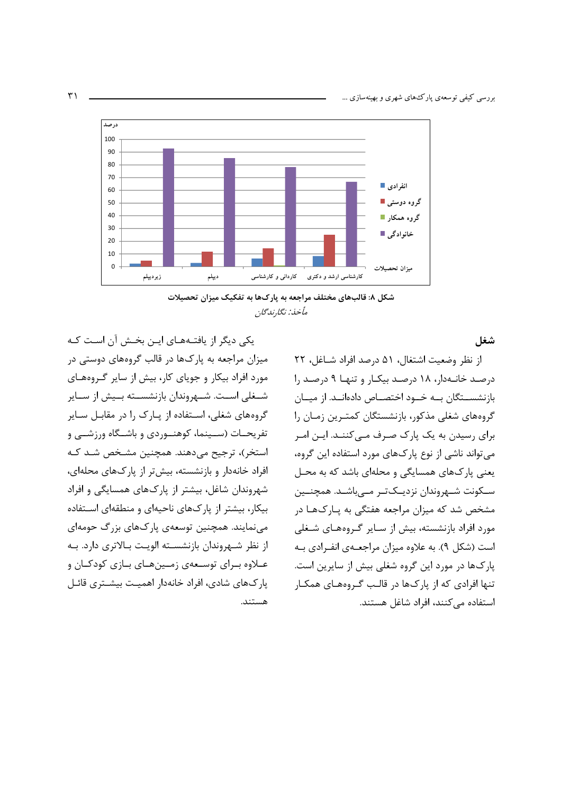



شغل

یکی دیگر از یافتـههـای ایـن بخـش آن اسـت کـه میزان مراجعه به پارکها در قالب گروههای دوستی در مورد افراد بیکار و جویای کار، بیش از سایر گـروههـای شــغلی اســت. شــهروندان بازنشســته بــیش از ســایر گروههای شغلی، اسـتفاده از پـارک را در مقابـل سـایر تفریحـات (ســینما، کوهنــوردی و باشــگاه ورزشــی و استخر)، ترجیح میدهند. همچنین مشخص شد که افراد خانهدار و بازنشسته، بیش تر از پارکهای محلهای، شهروندان شاغل، بیشتر از پارکهای همسایگی و افراد بیکار، بیشتر از پارکهای ناحیهای و منطقهای استفاده می نمایند. همچنین توسعهی پارکهای بزرگ حومهای از نظر شـهروندان بازنشسـته الويـت بـالاترى دارد. بـه عــلاوه بــراي توســعهي زمــينهــاي بــازي كودكــان و یار ک&ای شادی، افراد خانهدار اهمیت بیشـتری قائـل هستند.

از نظر وضعیت اشتغال، ۵۱ درصد افراد شـاغل، ۲۲ درصد خانـهدار، ۱۸ درصـد بیکـار و تنهـا ۹ درصـد را بازنشســتگان بــه خــود اختصــاص دادهانــد. از میــان گروههای شغلی مذکور، بازنشستگان کمتـرین زمـان را برای رسیدن به یک پارک صرف مـیکننـد. ایـن امـر می تواند ناشی از نوع پارکهای مورد استفاده این گروه، یعنی یارکهای همسایگی و محلهای باشد که به محـل سـكونت شــهروندان نزديـكتـر مــیباشــد. همچنــين مشخص شد که میزان مراجعه هفتگی به پـارک@ا در مورد افراد بازنشسته، بیش از سـایر گـروههـای شـغلی است (شکل ۹). به علاوه میزان مراجعهی انفرادی به پارکها در مورد این گروه شغلی بیش از سایرین است. تنها افرادی که از پارکها در قالب گـروههـای همکـار استفاده می کنند، افراد شاغل هستند.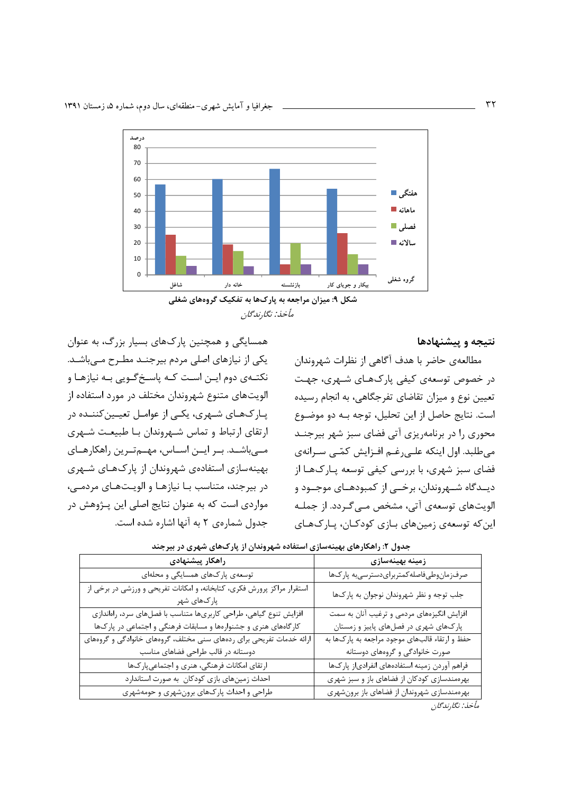همسایگی و همچنین پارکهای بسیار بزرگ، به عنوان

یکی از نیازهای اصلی مردم بیرجنـد مطـرح مـیباشـد.

نکتـهی دوم ایـن اسـت کـه پاسـخ گـویی بـه نیازهـا و

الویتهای متنوع شهروندان مختلف در مورد استفاده از

پـارکـهـای شـهری، یکـی از عوامـل تعیـین کننـده در

ارتقای ارتباط و تماس شـهروندان بـا طبیعـت شـهری

مے باشـد. بـر ایــن اسـاس، مهــمتـرین راهکارهـای

بهینهسازی استفادهی شهروندان از پارکهای شـهری در بیرجند، متناسب بـا نیازهـا و الویـتهـای مردمـی،

مواردی است که به عنوان نتایج اصلی این پـژوهش در

جدول شمارهی ٢ به آنها اشاره شده است.



مأخذ نگان با گان

نتيجه و پيشنهادها

مطالعهی حاضر با هدف آگاهی از نظرات شهروندان در خصوص توسعهی کیفی پارک هـای شـهری، جهـت تعیین نوع و میزان تقاضای تفرجگاهی، به انجام رسیده است. نتايج حاصل از اين تحليل، توجه بـه دو موضـوع محوری را در برنامهریزی آتی فضای سبز شهر بیرجنـد می طلبد. اول اینکه علـی رغـم افـزایش کمّـی سـرانهی فضای سبز شهری، با بررسی کیفی توسعه پـارکـهـا از ديــدگاه شــهروندان، برخــى از كمبودهــاى موجــود و الويتهاي توسعهي آتي، مشخص مـي گـردد. از جملـه این که توسعهی زمینهای بـازی کودکـان، پـارکـهـای

| راهكار پيشنهادى                                                                        | زمینه بهینهسازی                                |
|----------------------------------------------------------------------------------------|------------------------------------------------|
| توسعهی پارکهای همسایگی و محلهای                                                        | صرفزمان وطىفاصله كمتربراي دسترسىبه پاركها      |
| استقرار مراکز پرورش فکری، کتابخانه، و امکانات تفریحی و ورزشی در برخی از<br>پارکھای شهر | جلب توجه و نظر شهروندان نوجوان به پارکها       |
| افزایش تنوع گیاهی، طراحی کاربریها متناسب با فصلهای سرد، راهاندازی                      | افزایش انگیزههای مردمی و ترغیب آنان به سمت     |
| کارگاههای هنری و جشنوارهها و مسابقات فرهنگی و اجتماعی در پارکها                        | پارکهای شهری در فصلهای پاییز و زمستان          |
| ارائه خدمات تفریحی برای ردههای سنی مختلف، گروههای خانوادگی و گروههای                   | حفظ و ارتقاء قالبهای موجود مراجعه به پارکها به |
| دوستانه در قالب طراحی فضاهای مناسب                                                     | صورت خانوادگی و گروههای دوستانه                |
| ارتقای امکانات فرهنگی، هنری و اجتماعیپار کها                                           | فراهم آوردن زمينه استفادههاي انفرادياز پاركها  |
| احداث زمینهای بازی کودکان به صورت استاندارد                                            | بهرهمندسازی کودکان از فضاهای باز و سبز شهری    |
| طراحی و احداث پارکهای برونشهری و حومهشهری                                              | بهرهمندسازی شهروندان از فضاهای باز برونشهری    |
|                                                                                        | مأخذ: نگارندگان                                |

| جدول ۲: راهکارهای بهینهسازی استفاده شهروندان از پارکهای شهری در بیرجند |  |  |  |  |  |  |  |
|------------------------------------------------------------------------|--|--|--|--|--|--|--|
|------------------------------------------------------------------------|--|--|--|--|--|--|--|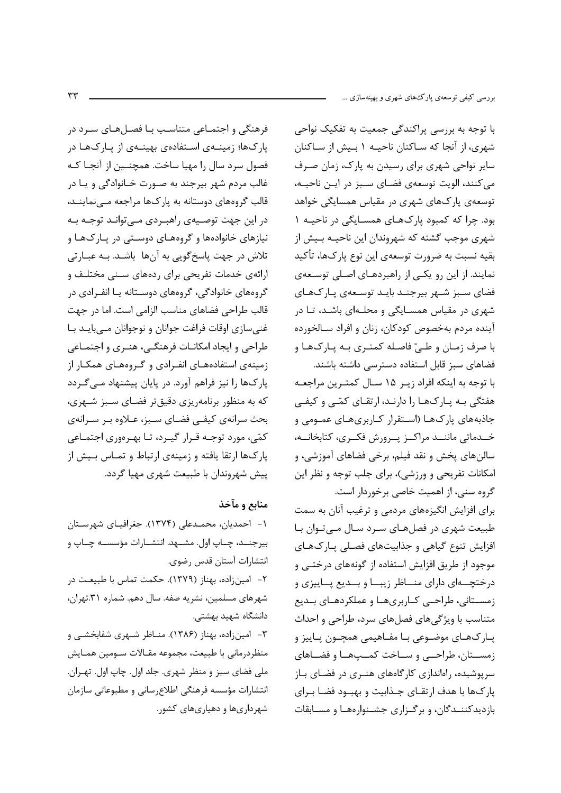فرهنگی و اجتمـاعی متناسـب بـا فصـلهـای سـرد در با توجه به بررسی پراکندگی جمعیت به تفکیک نواحی یارک&ا؛ زمینــهی اســتفادهی بهینــهی از یــارکـهـا در فصول سرد سال را مهيا ساخت. همچنــين از آنجــا كــه .<br>غالب مردم شهر بیرجند به صـورت خـانوادگی و یـا در قالب گروههای دوستانه به پارکها مراجعه مـینماینـد، در این جهت توصـیهی راهبـردی مـی;توانـد توجـه بـه نیازهای خانوادهها و گروههـای دوسـتی در پـارکـهـا و تلاش در جهت پاسخگویی به آنها باشـد. بـه عبــارتی ارائهی خدمات تفریحی برای ردههای سـنی مختلـف و گروههای خانوادگی، گروههای دوسـتانه یـا انفـرادی در قالب طراحی فضاهای مناسب الزامی است. اما در جهت غنی سازی اوقات فراغت جوانان و نوجوانان مـی بایـد بـا طراحي و ايجاد امكانـات فرهنگـي، هنـري و اجـتمـاعي زمینهی استفادههـای انفـرادی و گـروههـای همكـار از پارکها را نیز فراهم آورد. در پایان پیشنهاد مـیگـردد که به منظور برنامهریزی دقیقتر فضـای سـبز شـهری، بحث سرانهي كيفي فضاي سبز، عـلاوه بـر سـرانهي کمّی، مورد توجـه قـرار گیـرد، تـا بهـرهوری اجتمـاعی پارکها ارتقا یافته و زمینهی ارتباط و تمـاس بـیش از ییش شهروندان با طبیعت شهری مهیا گردد.

## منابع و مآخذ

١- احمدیان، محمـدعلی (١٣٧۴). جغرافیـای شهرسـتان بيرجنــد، چــاپ اول. مشــهد. انتشــارات مؤسســه چــاپ و انتشارات آستان قدس رضوي. ٢- امينزاده، بهناز (١٣٧٩). حكمت تماس با طبيعت در شهرهای مسلمین، نشریه صفه. سال دهم. شماره ٣١.تهران، دانشگاه شهید بهشتی. ۳- امینزاده، بهناز (۱۳۸۶). منـاظر شـهری شفابخشـی و منظردرماني با طبيعت، مجموعه مقـالات سـومين همـايش ملي فضاي سبز و منظر شهري. جلد اول. چاپ اول. تهـران. انتشارات مؤسسه فرهنگي اطلاع رساني و مطبوعاتي سازمان شهرداریها و دهیاریهای کشور.

شهری، از آنجا که سـاکنان ناحیــه ۱ بـیش از سـاکنان سایر نواحی شهری برای رسیدن به پارک، زمان صـرف می کنند، الویت توسعهی فضـای سـبز در ایـن ناحیـه، توسعهی یارکهای شهری در مقیاس همسایگی خواهد بود. چرا که کمبود پارکهای همسـایگی در ناحیـه ۱ شهری موجب گشته که شهروندان این ناحیــه بـیش از بقيه نسبت به ضرورت توسعهي اين نوع پارکها، تأكيد نمایند. از این رو یکبی از راهبردهـای اصـلی توسـعهی فضای سبز شـهر بیرجنـد بایـد توسـعهی پـارکـهـای شهری در مقیاس همسـایگی و محلـهای باشـد، تـا در آینده مردم بهخصوص کودکان، زنان و افراد سـالخورده با صرف زمـان و طـيّ فاصـله كمتـرى بـه يـاركـهـا و فضاهای سبز قابل استفاده دسترسی داشته باشند. با توجه به اینکه افراد زیـر ۱۵ سـال کمتـرین مراجعـه هفتگی بـه پـارکهـا را دارنـد، ارتقـای کمّـی و کیفـی جاذبههای پارکها (استقرار کاربریهای عمـومی و خــدماتي ماننــد مراكــز يــرورش فكــرى، كتابخانــه، سالنهای یخش و نقد فیلم، برخی فضاهای آموزشی، و امکانات تفریحی و ورزشی)، برای جلب توجه و نظر این

گروه سنی، از اهمیت خاصی برخوردار است. برای افزایش انگیزههای مردمی و ترغیب آنان به سمت طبیعت شهری در فصلهای سرد سال مےتوان با افزایش تنوع گیاهی و جذابیتهای فصلی پارکهای موجود از طریق افزایش استفاده از گونههای درختــی و درختچــهای دارای منــاظر زیبــا و بــدیع پــاییزی و زمسـتاني، طراحـي كـاربريهـا و عملكردهـاي بـديع متناسب با ویژگیهای فصلهای سرد، طراحی و احداث پـارکھـای موضـوعی بـا مفـاهیمی همچـون پـاییز و زمسـتان، طراحـبي و سـاخت كمـبهـا و فضـاهاي سرپوشیده، راهاندازی کارگاههای هنـری در فضـای بـاز یارک ها با هدف ارتقـای جـذابیت و بهبـود فضـا بـرای بازدیدکننـدگان، و بر گـزاری جشـنوارههـا و مسـابقات